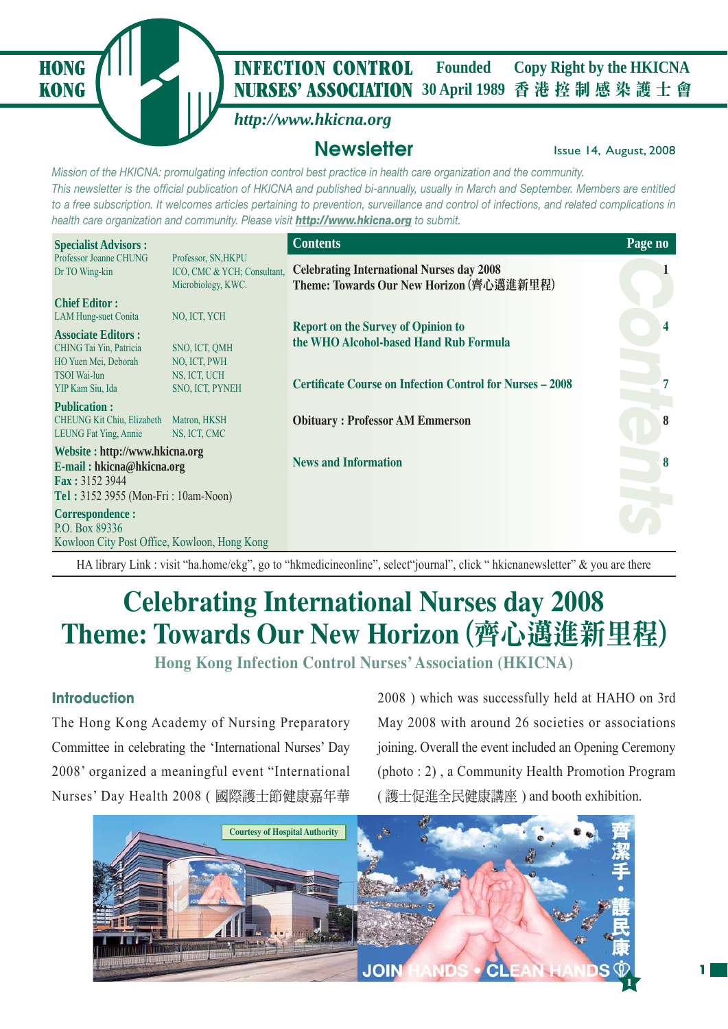**KONG**

### **NURSES' ASSOCIATION** 30 April 1989 香港控制感染護士會 **HONG** *I* **INFECTION CONTROL** Founded Copy Right by the HKICNA **Founded**

## *http://www.hkicna.org*

## **Newsletter Issue 14, August, 2008**

*Mission of the HKICNA: promulgating infection control best practice in health care organization and the community. This newsletter is the official publication of HKICNA and published bi-annually, usually in March and September. Members are entitled to a free subscription. It welcomes articles pertaining to prevention, surveillance and control of infections, and related complications in health care organization and community. Please visit http://www.hkicna.org to submit.*

| <b>Specialist Advisors:</b>                                                                                                         |                                                                          | <b>Contents</b>                                                                              | Page no |
|-------------------------------------------------------------------------------------------------------------------------------------|--------------------------------------------------------------------------|----------------------------------------------------------------------------------------------|---------|
| Professor Joanne CHUNG<br>Dr TO Wing-kin                                                                                            | Professor, SN, HKPU<br>ICO, CMC & YCH; Consultant,<br>Microbiology, KWC. | <b>Celebrating International Nurses day 2008</b><br>Theme: Towards Our New Horizon (齊心邁進新里程) |         |
| <b>Chief Editor:</b><br><b>LAM Hung-suet Conita</b><br><b>Associate Editors:</b><br>CHING Tai Yin, Patricia<br>HO Yuen Mei, Deborah | NO, ICT, YCH<br>SNO, ICT, QMH<br>NO. ICT, PWH                            | <b>Report on the Survey of Opinion to</b><br>the WHO Alcohol-based Hand Rub Formula          |         |
| <b>TSOI</b> Wai-lun<br>YIP Kam Siu, Ida                                                                                             | NS, ICT, UCH<br>SNO, ICT, PYNEH                                          | <b>Certificate Course on Infection Control for Nurses – 2008</b>                             |         |
| <b>Publication:</b><br><b>CHEUNG Kit Chiu, Elizabeth</b><br>LEUNG Fat Ying, Annie                                                   | Matron, HKSH<br>NS, ICT, CMC                                             | <b>Obituary: Professor AM Emmerson</b>                                                       | 8       |
| Website: http://www.hkicna.org<br>E-mail: hkicna@hkicna.org<br><b>Fax: 3152 3944</b><br>Tel: 3152 3955 (Mon-Fri: 10am-Noon)         |                                                                          | <b>News and Information</b>                                                                  | 8       |
| Correspondence :<br>P.O. Box 89336<br>Kowloon City Post Office, Kowloon, Hong Kong                                                  |                                                                          |                                                                                              |         |

HA library Link : visit "ha.home/ekg", go to "hkmedicineonline", select "journal", click " hkicnanewsletter" & you are there

# **Celebrating International Nurses day 2008 Theme: Towards Our New Horizon** (齊心邁進新里程)

**Hong Kong Infection Control Nurses' Association (HKICNA)**

## **Introduction**

The Hong Kong Academy of Nursing Preparatory Committee in celebrating the 'International Nurses' Day 2008' organized a meaningful event "International Nurses' Day Health 2008 ( 國際護士節健康嘉年華 2008 ) which was successfully held at HAHO on 3rd May 2008 with around 26 societies or associations joining. Overall the event included an Opening Ceremony (photo : 2) , a Community Health Promotion Program ( 護士促進全民健康講座 ) and booth exhibition.

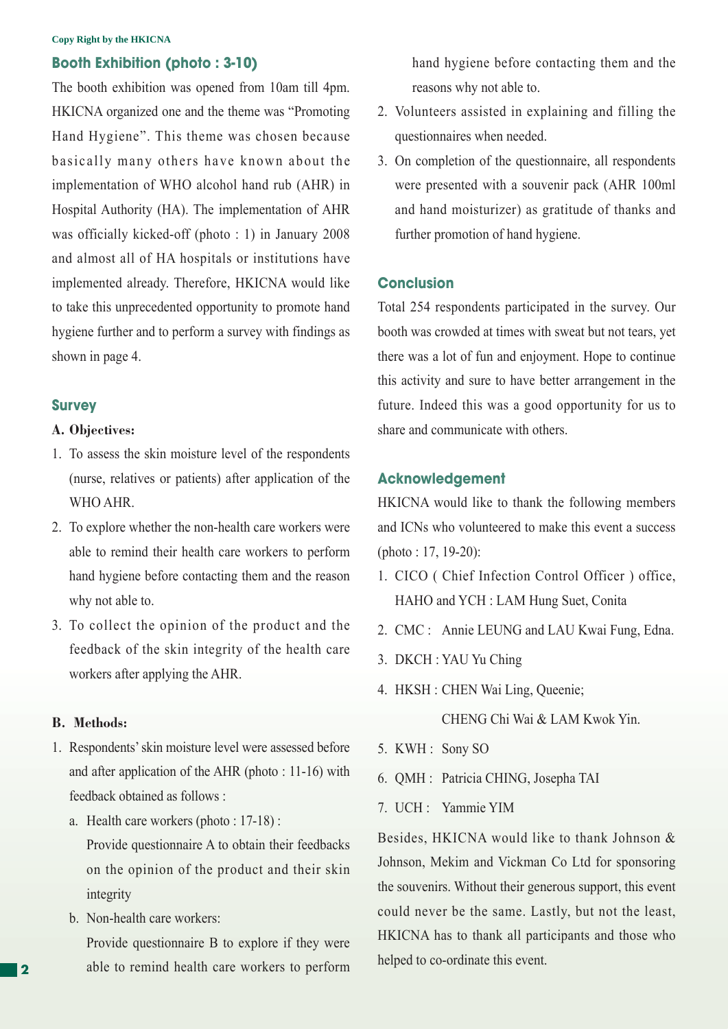#### **Copy Right by the HKICNA**

### **Booth Exhibition (photo : 3-10)**

The booth exhibition was opened from 10am till 4pm. HKICNA organized one and the theme was "Promoting Hand Hygiene". This theme was chosen because basically many others have known about the implementation of WHO alcohol hand rub (AHR) in Hospital Authority (HA). The implementation of AHR was officially kicked-off (photo : 1) in January 2008 and almost all of HA hospitals or institutions have implemented already. Therefore, HKICNA would like to take this unprecedented opportunity to promote hand hygiene further and to perform a survey with findings as shown in page 4.

#### **Survey**

#### **A. Objectives:**

- 1. To assess the skin moisture level of the respondents (nurse, relatives or patients) after application of the WHO AHR.
- 2. To explore whether the non-health care workers were able to remind their health care workers to perform hand hygiene before contacting them and the reason why not able to.
- 3. To collect the opinion of the product and the feedback of the skin integrity of the health care workers after applying the AHR.

#### **B. Methods:**

- 1. Respondents' skin moisture level were assessed before and after application of the AHR (photo : 11-16) with feedback obtained as follows :
	- a. Health care workers (photo : 17-18) :

 Provide questionnaire A to obtain their feedbacks on the opinion of the product and their skin integrity

b. Non-health care workers:

 Provide questionnaire B to explore if they were able to remind health care workers to perform hand hygiene before contacting them and the reasons why not able to.

- 2. Volunteers assisted in explaining and filling the questionnaires when needed.
- 3. On completion of the questionnaire, all respondents were presented with a souvenir pack (AHR 100ml and hand moisturizer) as gratitude of thanks and further promotion of hand hygiene.

### **Conclusion**

Total 254 respondents participated in the survey. Our booth was crowded at times with sweat but not tears, yet there was a lot of fun and enjoyment. Hope to continue this activity and sure to have better arrangement in the future. Indeed this was a good opportunity for us to share and communicate with others.

## **Acknowledgement**

HKICNA would like to thank the following members and ICNs who volunteered to make this event a success (photo : 17, 19-20):

- 1. CICO ( Chief Infection Control Officer ) office, HAHO and YCH : LAM Hung Suet, Conita
- 2. CMC : Annie LEUNG and LAU Kwai Fung, Edna.
- 3. DKCH : YAU Yu Ching
- 4. HKSH : CHEN Wai Ling, Queenie;

CHENG Chi Wai & LAM Kwok Yin.

- 5. KWH : Sony SO
- 6. QMH : Patricia CHING, Josepha TAI
- 7. UCH : Yammie YIM

Besides, HKICNA would like to thank Johnson & Johnson, Mekim and Vickman Co Ltd for sponsoring the souvenirs. Without their generous support, this event could never be the same. Lastly, but not the least, HKICNA has to thank all participants and those who helped to co-ordinate this event.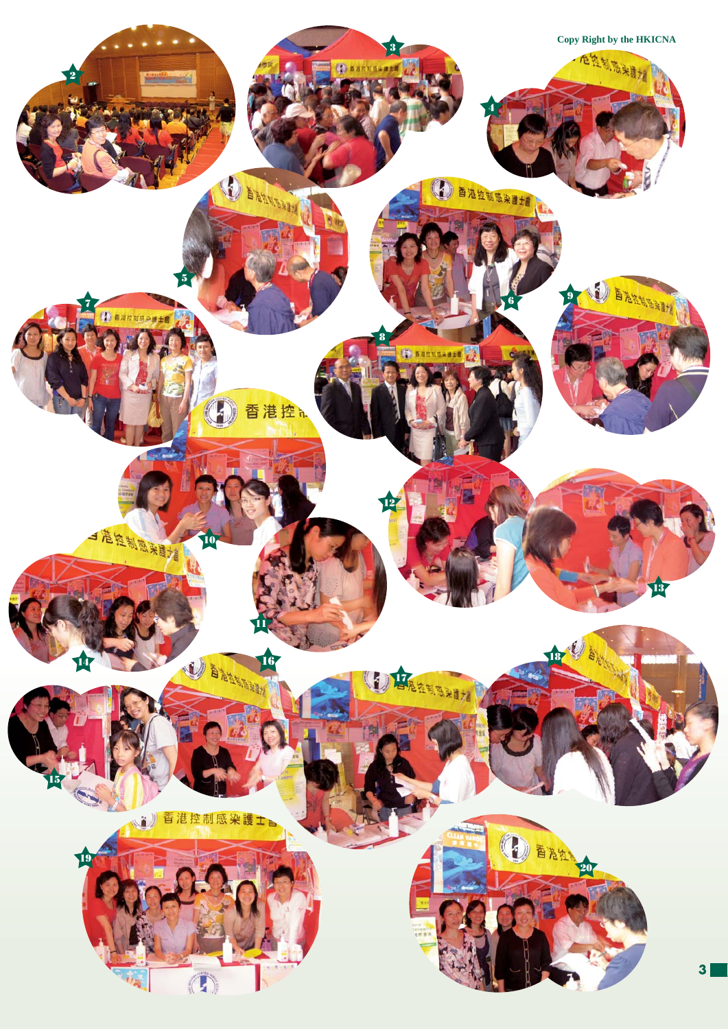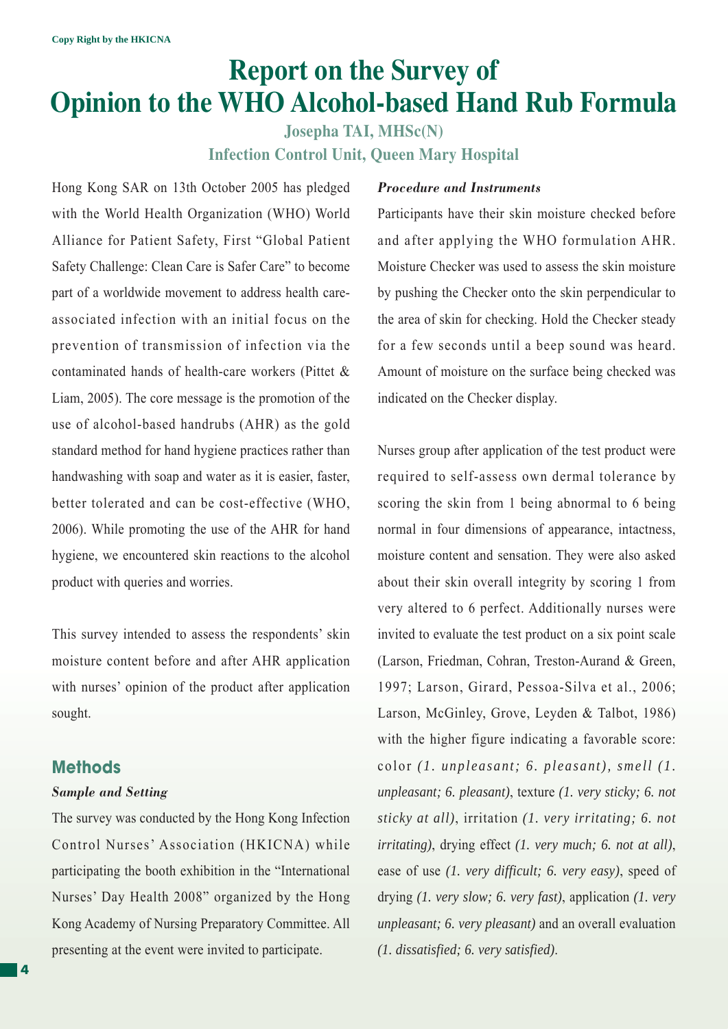# **Report on the Survey of Opinion to the WHO Alcohol-based Hand Rub Formula**

**Josepha TAI, MHSc(N) Infection Control Unit, Queen Mary Hospital**

Hong Kong SAR on 13th October 2005 has pledged with the World Health Organization (WHO) World Alliance for Patient Safety, First "Global Patient Safety Challenge: Clean Care is Safer Care" to become part of a worldwide movement to address health careassociated infection with an initial focus on the prevention of transmission of infection via the contaminated hands of health-care workers (Pittet & Liam, 2005). The core message is the promotion of the use of alcohol-based handrubs (AHR) as the gold standard method for hand hygiene practices rather than handwashing with soap and water as it is easier, faster, better tolerated and can be cost-effective (WHO, 2006). While promoting the use of the AHR for hand hygiene, we encountered skin reactions to the alcohol product with queries and worries.

This survey intended to assess the respondents' skin moisture content before and after AHR application with nurses' opinion of the product after application sought.

## **Methods**

### *Sample and Setting*

The survey was conducted by the Hong Kong Infection Control Nurses' Association (HKICNA) while participating the booth exhibition in the "International Nurses' Day Health 2008" organized by the Hong Kong Academy of Nursing Preparatory Committee. All presenting at the event were invited to participate.

### *Procedure and Instruments*

Participants have their skin moisture checked before and after applying the WHO formulation AHR. Moisture Checker was used to assess the skin moisture by pushing the Checker onto the skin perpendicular to the area of skin for checking. Hold the Checker steady for a few seconds until a beep sound was heard. Amount of moisture on the surface being checked was indicated on the Checker display.

Nurses group after application of the test product were required to self-assess own dermal tolerance by scoring the skin from 1 being abnormal to 6 being normal in four dimensions of appearance, intactness, moisture content and sensation. They were also asked about their skin overall integrity by scoring 1 from very altered to 6 perfect. Additionally nurses were invited to evaluate the test product on a six point scale (Larson, Friedman, Cohran, Treston-Aurand & Green, 1997; Larson, Girard, Pessoa-Silva et al., 2006; Larson, McGinley, Grove, Leyden & Talbot, 1986) with the higher figure indicating a favorable score: color *(1. unpleasant; 6. pleasant), smell (1. unpleasant; 6. pleasant)*, texture *(1. very sticky; 6. not sticky at all)*, irritation *(1. very irritating; 6. not irritating)*, drying effect *(1. very much; 6. not at all)*, ease of use *(1. very difficult; 6. very easy)*, speed of drying *(1. very slow; 6. very fast)*, application *(1. very unpleasant; 6. very pleasant)* and an overall evaluation *(1. dissatisfied; 6. very satisfied)*.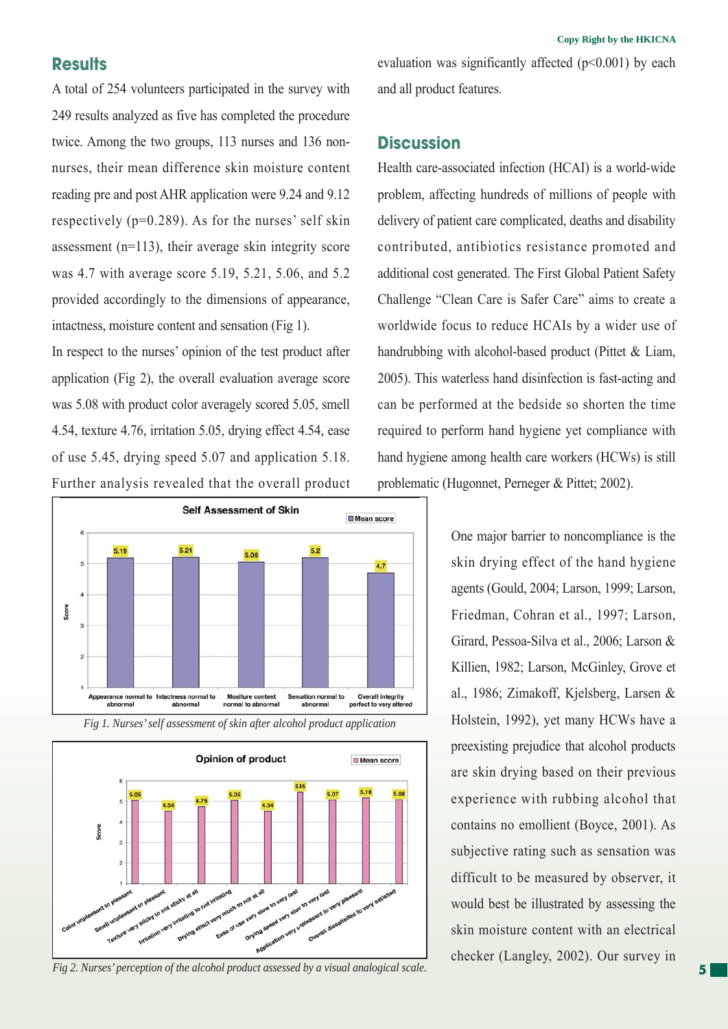## **Results**

A total of 254 volunteers participated in the survey with 249 results analyzed as five has completed the procedure twice. Among the two groups, 113 nurses and 136 nonnurses, their mean difference skin moisture content reading pre and post AHR application were 9.24 and 9.12 respectively (p=0.289). As for the nurses' self skin assessment (n=113), their average skin integrity score was 4.7 with average score 5.19, 5.21, 5.06, and 5.2 provided accordingly to the dimensions of appearance, intactness, moisture content and sensation (Fig 1).

In respect to the nurses' opinion of the test product after application (Fig 2), the overall evaluation average score was 5.08 with product color averagely scored 5.05, smell 4.54, texture 4.76, irritation 5.05, drying effect 4.54, ease of use 5.45, drying speed 5.07 and application 5.18. Further analysis revealed that the overall product



*Fig 1. Nurses' self assessment of skin after alcohol product application*



*Fig 2. Nurses' perception of the alcohol product assessed by a visual analogical scale.*

evaluation was significantly affected  $(p<0.001)$  by each and all product features.

## **Discussion**

Health care-associated infection (HCAI) is a world-wide problem, affecting hundreds of millions of people with delivery of patient care complicated, deaths and disability contributed, antibiotics resistance promoted and additional cost generated. The First Global Patient Safety Challenge "Clean Care is Safer Care" aims to create a worldwide focus to reduce HCAIs by a wider use of handrubbing with alcohol-based product (Pittet & Liam, 2005). This waterless hand disinfection is fast-acting and can be performed at the bedside so shorten the time required to perform hand hygiene yet compliance with hand hygiene among health care workers (HCWs) is still problematic (Hugonnet, Perneger & Pittet; 2002).

> One major barrier to noncompliance is the skin drying effect of the hand hygiene agents (Gould, 2004; Larson, 1999; Larson, Friedman, Cohran et al., 1997; Larson, Girard, Pessoa-Silva et al., 2006; Larson & Killien, 1982; Larson, McGinley, Grove et al., 1986; Zimakoff, Kjelsberg, Larsen & Holstein, 1992), yet many HCWs have a preexisting prejudice that alcohol products are skin drying based on their previous experience with rubbing alcohol that contains no emollient (Boyce, 2001). As subjective rating such as sensation was difficult to be measured by observer, it would best be illustrated by assessing the skin moisture content with an electrical checker (Langley, 2002). Our survey in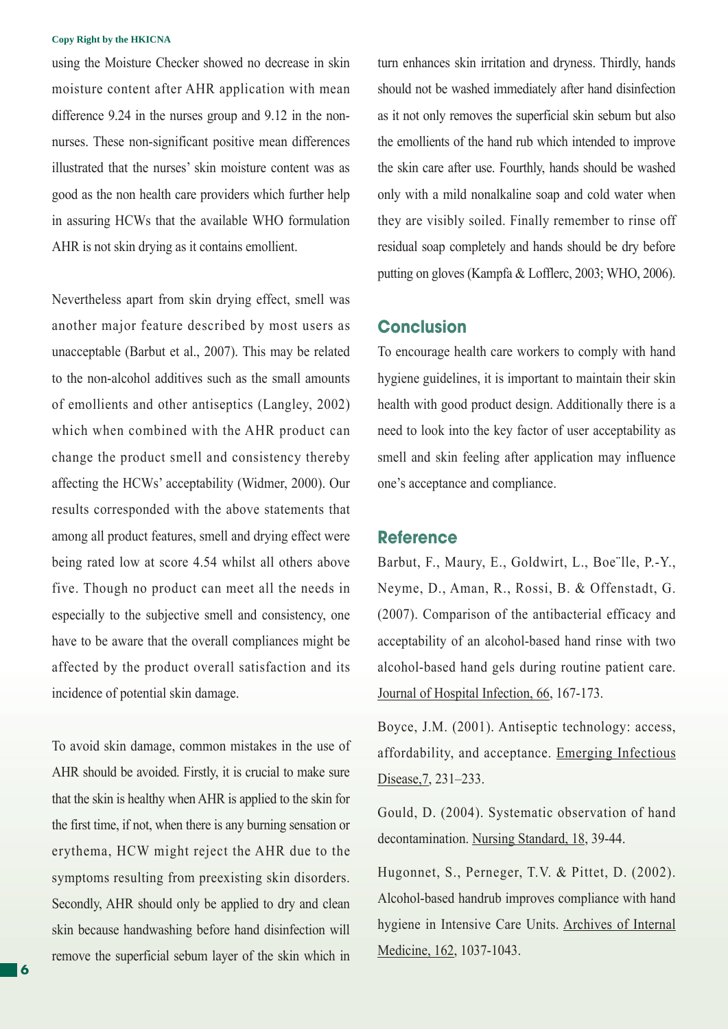#### **Copy Right by the HKICNA**

using the Moisture Checker showed no decrease in skin moisture content after AHR application with mean difference 9.24 in the nurses group and 9.12 in the nonnurses. These non-significant positive mean differences illustrated that the nurses' skin moisture content was as good as the non health care providers which further help in assuring HCWs that the available WHO formulation AHR is not skin drying as it contains emollient.

Nevertheless apart from skin drying effect, smell was another major feature described by most users as unacceptable (Barbut et al., 2007). This may be related to the non-alcohol additives such as the small amounts of emollients and other antiseptics (Langley, 2002) which when combined with the AHR product can change the product smell and consistency thereby affecting the HCWs' acceptability (Widmer, 2000). Our results corresponded with the above statements that among all product features, smell and drying effect were being rated low at score 4.54 whilst all others above five. Though no product can meet all the needs in especially to the subjective smell and consistency, one have to be aware that the overall compliances might be affected by the product overall satisfaction and its incidence of potential skin damage.

To avoid skin damage, common mistakes in the use of AHR should be avoided. Firstly, it is crucial to make sure that the skin is healthy when AHR is applied to the skin for the first time, if not, when there is any burning sensation or erythema, HCW might reject the AHR due to the symptoms resulting from preexisting skin disorders. Secondly, AHR should only be applied to dry and clean skin because handwashing before hand disinfection will remove the superficial sebum layer of the skin which in

turn enhances skin irritation and dryness. Thirdly, hands should not be washed immediately after hand disinfection as it not only removes the superficial skin sebum but also the emollients of the hand rub which intended to improve the skin care after use. Fourthly, hands should be washed only with a mild nonalkaline soap and cold water when they are visibly soiled. Finally remember to rinse off residual soap completely and hands should be dry before putting on gloves (Kampfa & Lofflerc, 2003; WHO, 2006).

## **Conclusion**

To encourage health care workers to comply with hand hygiene guidelines, it is important to maintain their skin health with good product design. Additionally there is a need to look into the key factor of user acceptability as smell and skin feeling after application may influence one's acceptance and compliance.

### **Reference**

Barbut, F., Maury, E., Goldwirt, L., Boe¨lle, P.-Y., Neyme, D., Aman, R., Rossi, B. & Offenstadt, G. (2007). Comparison of the antibacterial efficacy and acceptability of an alcohol-based hand rinse with two alcohol-based hand gels during routine patient care. Journal of Hospital Infection, 66, 167-173.

Boyce, J.M. (2001). Antiseptic technology: access, affordability, and acceptance. Emerging Infectious Disease, 7, 231–233.

Gould, D. (2004). Systematic observation of hand decontamination. Nursing Standard, 18, 39-44.

Hugonnet, S., Perneger, T.V. & Pittet, D. (2002). Alcohol-based handrub improves compliance with hand hygiene in Intensive Care Units. Archives of Internal Medicine, 162, 1037-1043.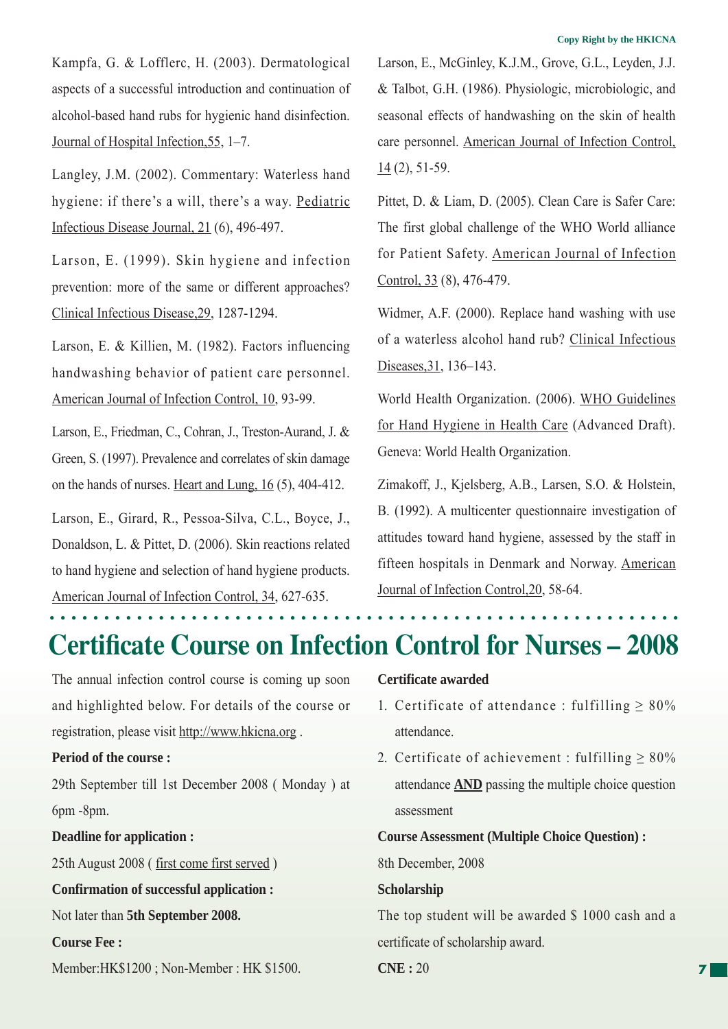Kampfa, G. & Lofflerc, H. (2003). Dermatological aspects of a successful introduction and continuation of alcohol-based hand rubs for hygienic hand disinfection. Journal of Hospital Infection,55, 1–7.

Langley, J.M. (2002). Commentary: Waterless hand hygiene: if there's a will, there's a way. Pediatric Infectious Disease Journal, 21 (6), 496-497.

Larson, E. (1999). Skin hygiene and infection prevention: more of the same or different approaches? Clinical Infectious Disease,29, 1287-1294.

Larson, E. & Killien, M. (1982). Factors influencing handwashing behavior of patient care personnel. American Journal of Infection Control, 10, 93-99.

Larson, E., Friedman, C., Cohran, J., Treston-Aurand, J. & Green, S. (1997). Prevalence and correlates of skin damage on the hands of nurses. Heart and Lung, 16 (5), 404-412.

Larson, E., Girard, R., Pessoa-Silva, C.L., Boyce, J., Donaldson, L. & Pittet, D. (2006). Skin reactions related to hand hygiene and selection of hand hygiene products. American Journal of Infection Control, 34, 627-635.

Larson, E., McGinley, K.J.M., Grove, G.L., Leyden, J.J. & Talbot, G.H. (1986). Physiologic, microbiologic, and seasonal effects of handwashing on the skin of health care personnel. American Journal of Infection Control, 14 (2), 51-59.

Pittet, D. & Liam, D. (2005). Clean Care is Safer Care: The first global challenge of the WHO World alliance for Patient Safety. American Journal of Infection Control, 33 (8), 476-479.

Widmer, A.F. (2000). Replace hand washing with use of a waterless alcohol hand rub? Clinical Infectious Diseases,31, 136–143.

World Health Organization. (2006). WHO Guidelines for Hand Hygiene in Health Care (Advanced Draft). Geneva: World Health Organization.

Zimakoff, J., Kjelsberg, A.B., Larsen, S.O. & Holstein, B. (1992). A multicenter questionnaire investigation of attitudes toward hand hygiene, assessed by the staff in fifteen hospitals in Denmark and Norway. American Journal of Infection Control,20, 58-64.

## **Certificate Course on Infection Control for Nurses – 2008**

The annual infection control course is coming up soon and highlighted below. For details of the course or registration, please visit http://www.hkicna.org .

### **Period of the course :**

29th September till 1st December 2008 ( Monday ) at 6pm -8pm.

**Deadline for application :**

25th August 2008 ( first come first served )

**Confirmation of successful application :**

Not later than **5th September 2008.**

**Course Fee :**

Member:HK\$1200 ; Non-Member : HK \$1500.

#### **Certificate awarded**

- 1. Certificate of attendance : fulfilling  $\geq 80\%$ attendance.
- 2. Certificate of achievement : fulfilling  $\geq 80\%$ attendance **AND** passing the multiple choice question assessment

**Course Assessment (Multiple Choice Question) :** 8th December, 2008

#### **Scholarship**

The top student will be awarded \$ 1000 cash and a certificate of scholarship award.

**CNE :** 20